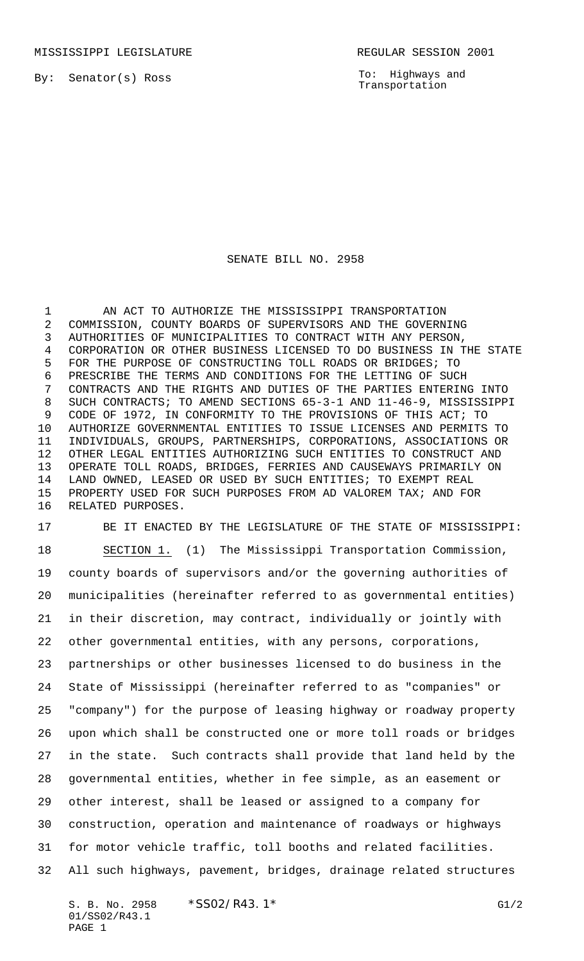By: Senator(s) Ross

To: Highways and Transportation

## SENATE BILL NO. 2958

1 AN ACT TO AUTHORIZE THE MISSISSIPPI TRANSPORTATION COMMISSION, COUNTY BOARDS OF SUPERVISORS AND THE GOVERNING AUTHORITIES OF MUNICIPALITIES TO CONTRACT WITH ANY PERSON, CORPORATION OR OTHER BUSINESS LICENSED TO DO BUSINESS IN THE STATE FOR THE PURPOSE OF CONSTRUCTING TOLL ROADS OR BRIDGES; TO PRESCRIBE THE TERMS AND CONDITIONS FOR THE LETTING OF SUCH CONTRACTS AND THE RIGHTS AND DUTIES OF THE PARTIES ENTERING INTO SUCH CONTRACTS; TO AMEND SECTIONS 65-3-1 AND 11-46-9, MISSISSIPPI CODE OF 1972, IN CONFORMITY TO THE PROVISIONS OF THIS ACT; TO AUTHORIZE GOVERNMENTAL ENTITIES TO ISSUE LICENSES AND PERMITS TO INDIVIDUALS, GROUPS, PARTNERSHIPS, CORPORATIONS, ASSOCIATIONS OR OTHER LEGAL ENTITIES AUTHORIZING SUCH ENTITIES TO CONSTRUCT AND OPERATE TOLL ROADS, BRIDGES, FERRIES AND CAUSEWAYS PRIMARILY ON LAND OWNED, LEASED OR USED BY SUCH ENTITIES; TO EXEMPT REAL PROPERTY USED FOR SUCH PURPOSES FROM AD VALOREM TAX; AND FOR RELATED PURPOSES.

 BE IT ENACTED BY THE LEGISLATURE OF THE STATE OF MISSISSIPPI: SECTION 1. (1) The Mississippi Transportation Commission, county boards of supervisors and/or the governing authorities of municipalities (hereinafter referred to as governmental entities) in their discretion, may contract, individually or jointly with other governmental entities, with any persons, corporations, partnerships or other businesses licensed to do business in the State of Mississippi (hereinafter referred to as "companies" or "company") for the purpose of leasing highway or roadway property upon which shall be constructed one or more toll roads or bridges in the state. Such contracts shall provide that land held by the governmental entities, whether in fee simple, as an easement or other interest, shall be leased or assigned to a company for construction, operation and maintenance of roadways or highways for motor vehicle traffic, toll booths and related facilities. All such highways, pavement, bridges, drainage related structures

S. B. No. 2958 \* SSO2/R43.1\* G1/2 01/SS02/R43.1 PAGE 1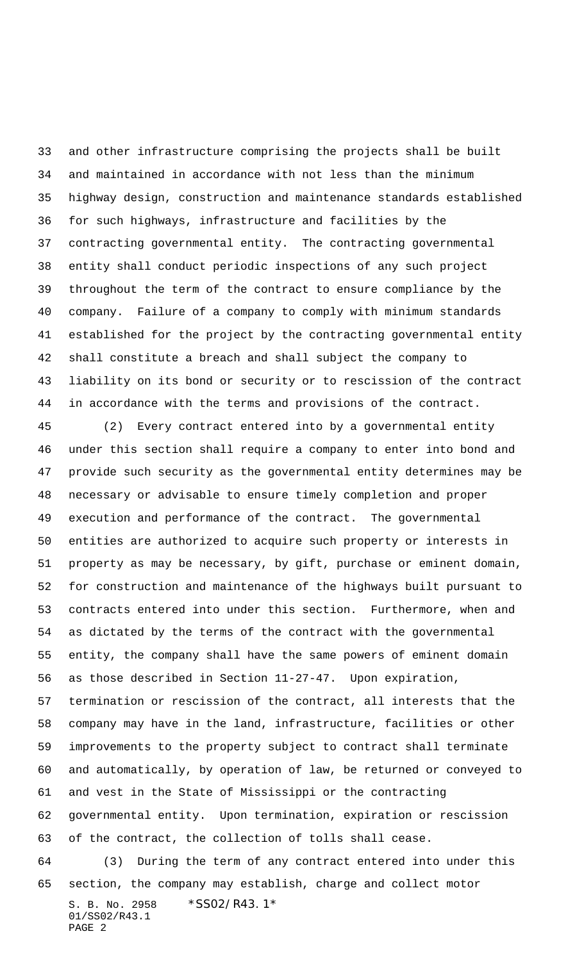and other infrastructure comprising the projects shall be built and maintained in accordance with not less than the minimum highway design, construction and maintenance standards established for such highways, infrastructure and facilities by the contracting governmental entity. The contracting governmental entity shall conduct periodic inspections of any such project throughout the term of the contract to ensure compliance by the company. Failure of a company to comply with minimum standards established for the project by the contracting governmental entity shall constitute a breach and shall subject the company to liability on its bond or security or to rescission of the contract in accordance with the terms and provisions of the contract.

S. B. No. 2958 \*SS02/R43.1\* 01/SS02/R43.1 (2) Every contract entered into by a governmental entity under this section shall require a company to enter into bond and provide such security as the governmental entity determines may be necessary or advisable to ensure timely completion and proper execution and performance of the contract. The governmental entities are authorized to acquire such property or interests in property as may be necessary, by gift, purchase or eminent domain, for construction and maintenance of the highways built pursuant to contracts entered into under this section. Furthermore, when and as dictated by the terms of the contract with the governmental entity, the company shall have the same powers of eminent domain as those described in Section 11-27-47. Upon expiration, termination or rescission of the contract, all interests that the company may have in the land, infrastructure, facilities or other improvements to the property subject to contract shall terminate and automatically, by operation of law, be returned or conveyed to and vest in the State of Mississippi or the contracting governmental entity. Upon termination, expiration or rescission of the contract, the collection of tolls shall cease. (3) During the term of any contract entered into under this section, the company may establish, charge and collect motor

PAGE 2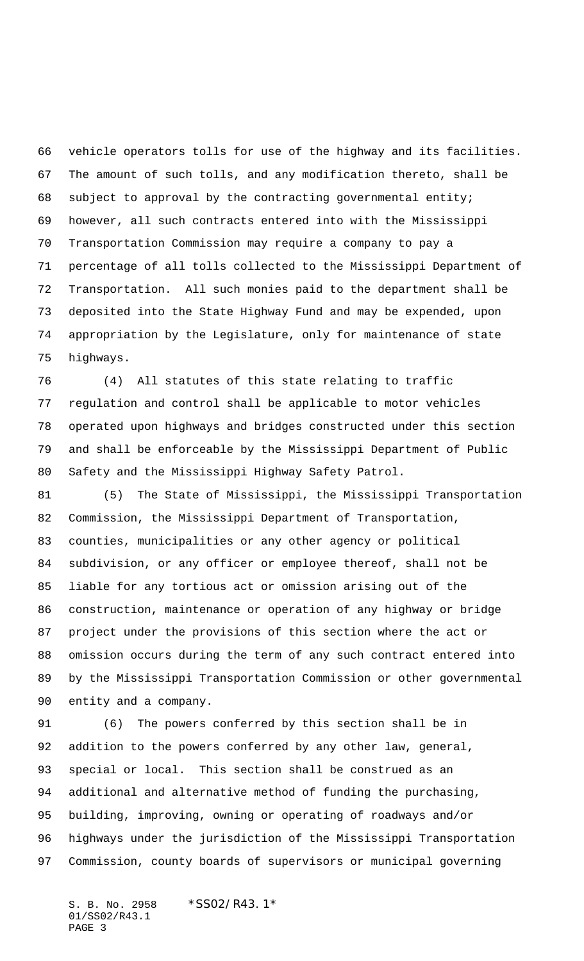vehicle operators tolls for use of the highway and its facilities. The amount of such tolls, and any modification thereto, shall be 68 subject to approval by the contracting governmental entity; however, all such contracts entered into with the Mississippi Transportation Commission may require a company to pay a percentage of all tolls collected to the Mississippi Department of Transportation. All such monies paid to the department shall be deposited into the State Highway Fund and may be expended, upon appropriation by the Legislature, only for maintenance of state highways.

 (4) All statutes of this state relating to traffic regulation and control shall be applicable to motor vehicles operated upon highways and bridges constructed under this section and shall be enforceable by the Mississippi Department of Public Safety and the Mississippi Highway Safety Patrol.

 (5) The State of Mississippi, the Mississippi Transportation Commission, the Mississippi Department of Transportation, counties, municipalities or any other agency or political subdivision, or any officer or employee thereof, shall not be liable for any tortious act or omission arising out of the construction, maintenance or operation of any highway or bridge project under the provisions of this section where the act or omission occurs during the term of any such contract entered into by the Mississippi Transportation Commission or other governmental entity and a company.

 (6) The powers conferred by this section shall be in 92 addition to the powers conferred by any other law, general, special or local. This section shall be construed as an additional and alternative method of funding the purchasing, building, improving, owning or operating of roadways and/or highways under the jurisdiction of the Mississippi Transportation Commission, county boards of supervisors or municipal governing

S. B. No. 2958 \*SS02/R43.1\* 01/SS02/R43.1 PAGE 3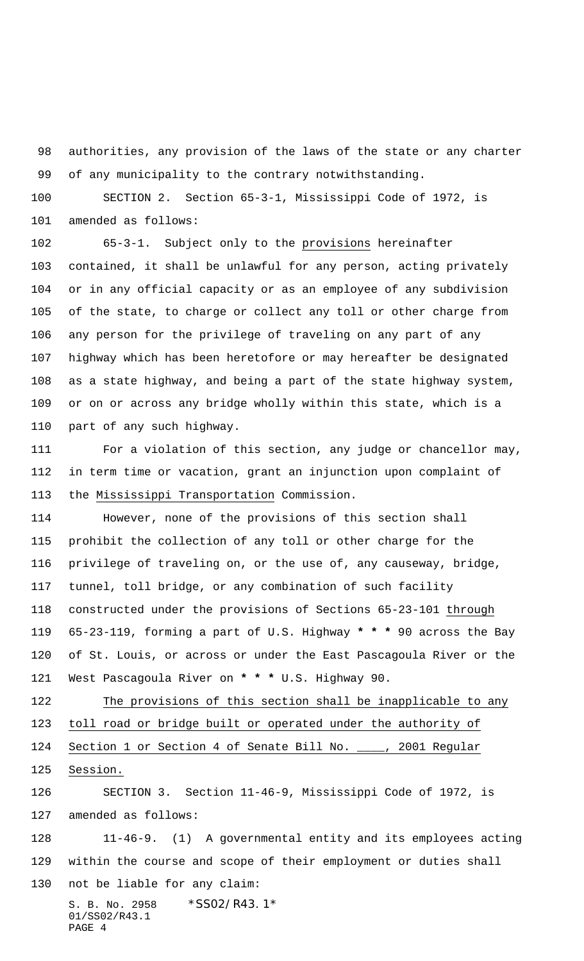authorities, any provision of the laws of the state or any charter of any municipality to the contrary notwithstanding.

 SECTION 2. Section 65-3-1, Mississippi Code of 1972, is amended as follows:

 65-3-1. Subject only to the provisions hereinafter contained, it shall be unlawful for any person, acting privately or in any official capacity or as an employee of any subdivision of the state, to charge or collect any toll or other charge from any person for the privilege of traveling on any part of any highway which has been heretofore or may hereafter be designated as a state highway, and being a part of the state highway system, or on or across any bridge wholly within this state, which is a part of any such highway.

 For a violation of this section, any judge or chancellor may, in term time or vacation, grant an injunction upon complaint of the Mississippi Transportation Commission.

 However, none of the provisions of this section shall prohibit the collection of any toll or other charge for the privilege of traveling on, or the use of, any causeway, bridge, tunnel, toll bridge, or any combination of such facility constructed under the provisions of Sections 65-23-101 through 65-23-119, forming a part of U.S. Highway **\* \* \*** 90 across the Bay of St. Louis, or across or under the East Pascagoula River or the West Pascagoula River on **\* \* \*** U.S. Highway 90.

122 The provisions of this section shall be inapplicable to any toll road or bridge built or operated under the authority of Section 1 or Section 4 of Senate Bill No. \_\_\_\_, 2001 Regular 125 Session.

 SECTION 3. Section 11-46-9, Mississippi Code of 1972, is amended as follows:

S. B. No. 2958 \* SS02/R43.1\* 01/SS02/R43.1 11-46-9. (1) A governmental entity and its employees acting within the course and scope of their employment or duties shall not be liable for any claim:

PAGE 4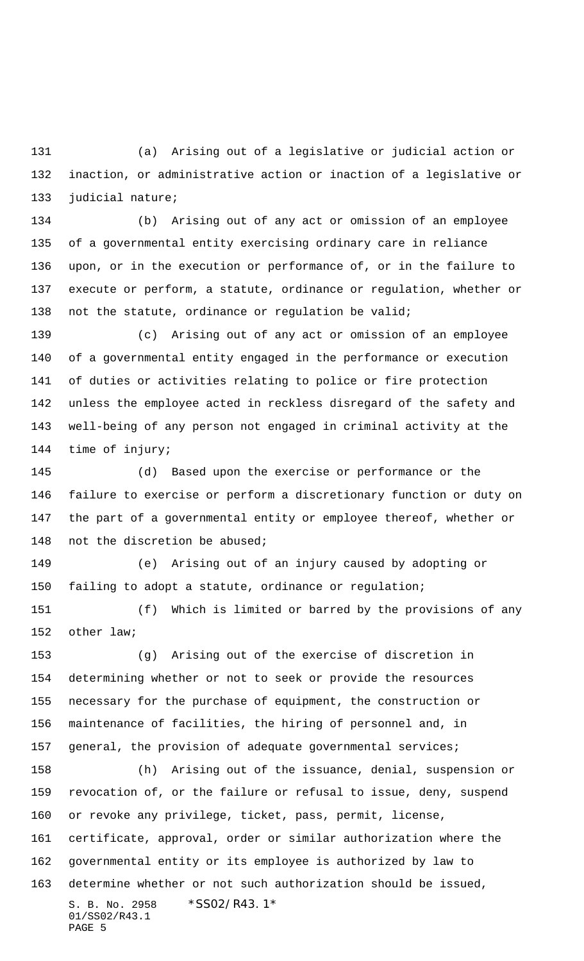(a) Arising out of a legislative or judicial action or inaction, or administrative action or inaction of a legislative or judicial nature;

 (b) Arising out of any act or omission of an employee of a governmental entity exercising ordinary care in reliance upon, or in the execution or performance of, or in the failure to execute or perform, a statute, ordinance or regulation, whether or not the statute, ordinance or regulation be valid;

 (c) Arising out of any act or omission of an employee of a governmental entity engaged in the performance or execution of duties or activities relating to police or fire protection unless the employee acted in reckless disregard of the safety and well-being of any person not engaged in criminal activity at the time of injury;

 (d) Based upon the exercise or performance or the failure to exercise or perform a discretionary function or duty on the part of a governmental entity or employee thereof, whether or not the discretion be abused;

 (e) Arising out of an injury caused by adopting or failing to adopt a statute, ordinance or regulation;

 (f) Which is limited or barred by the provisions of any other law;

 (g) Arising out of the exercise of discretion in determining whether or not to seek or provide the resources necessary for the purchase of equipment, the construction or maintenance of facilities, the hiring of personnel and, in 157 general, the provision of adequate governmental services;

S. B. No. 2958 \*SS02/R43.1\* 01/SS02/R43.1 PAGE 5 (h) Arising out of the issuance, denial, suspension or revocation of, or the failure or refusal to issue, deny, suspend or revoke any privilege, ticket, pass, permit, license, certificate, approval, order or similar authorization where the governmental entity or its employee is authorized by law to determine whether or not such authorization should be issued,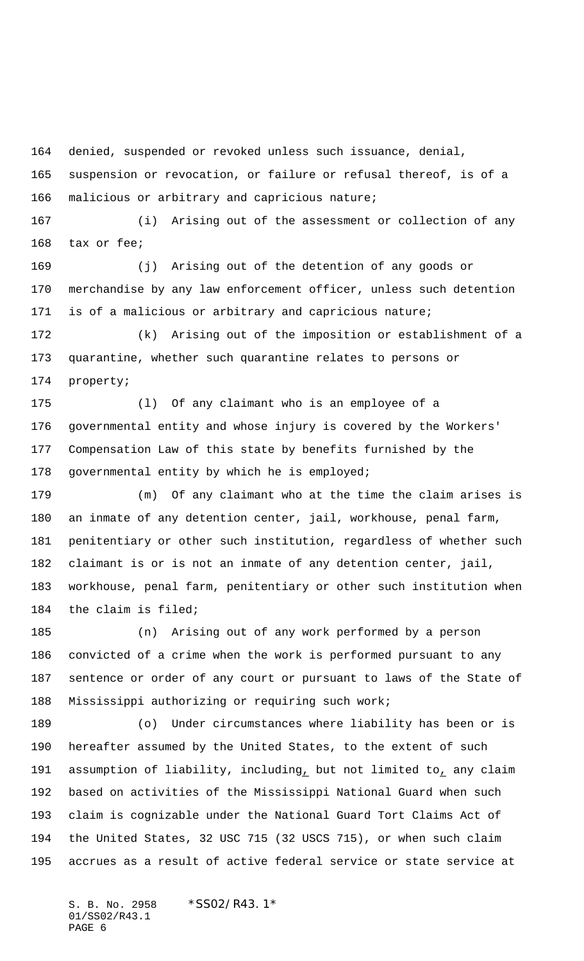denied, suspended or revoked unless such issuance, denial,

 suspension or revocation, or failure or refusal thereof, is of a malicious or arbitrary and capricious nature;

 (i) Arising out of the assessment or collection of any tax or fee;

 (j) Arising out of the detention of any goods or merchandise by any law enforcement officer, unless such detention is of a malicious or arbitrary and capricious nature;

 (k) Arising out of the imposition or establishment of a quarantine, whether such quarantine relates to persons or property;

 (l) Of any claimant who is an employee of a governmental entity and whose injury is covered by the Workers' Compensation Law of this state by benefits furnished by the 178 governmental entity by which he is employed;

 (m) Of any claimant who at the time the claim arises is an inmate of any detention center, jail, workhouse, penal farm, penitentiary or other such institution, regardless of whether such claimant is or is not an inmate of any detention center, jail, workhouse, penal farm, penitentiary or other such institution when the claim is filed;

 (n) Arising out of any work performed by a person convicted of a crime when the work is performed pursuant to any sentence or order of any court or pursuant to laws of the State of Mississippi authorizing or requiring such work;

 (o) Under circumstances where liability has been or is hereafter assumed by the United States, to the extent of such assumption of liability, including, but not limited to, any claim based on activities of the Mississippi National Guard when such claim is cognizable under the National Guard Tort Claims Act of the United States, 32 USC 715 (32 USCS 715), or when such claim accrues as a result of active federal service or state service at

S. B. No. 2958 \*SS02/R43.1\* 01/SS02/R43.1 PAGE 6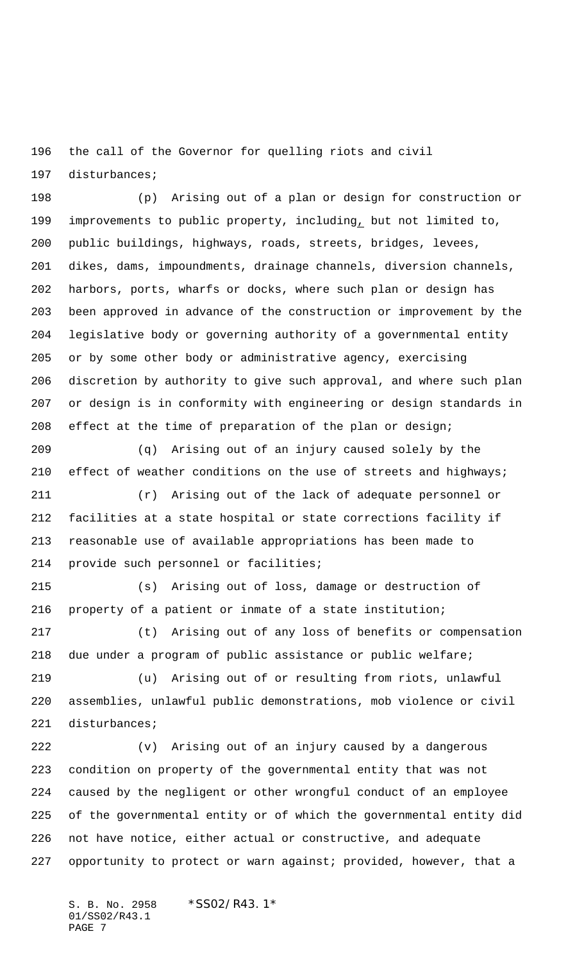the call of the Governor for quelling riots and civil

disturbances;

 (p) Arising out of a plan or design for construction or improvements to public property, including, but not limited to, public buildings, highways, roads, streets, bridges, levees, dikes, dams, impoundments, drainage channels, diversion channels, harbors, ports, wharfs or docks, where such plan or design has been approved in advance of the construction or improvement by the legislative body or governing authority of a governmental entity or by some other body or administrative agency, exercising discretion by authority to give such approval, and where such plan or design is in conformity with engineering or design standards in effect at the time of preparation of the plan or design;

 (q) Arising out of an injury caused solely by the 210 effect of weather conditions on the use of streets and highways;

 (r) Arising out of the lack of adequate personnel or facilities at a state hospital or state corrections facility if reasonable use of available appropriations has been made to provide such personnel or facilities;

 (s) Arising out of loss, damage or destruction of property of a patient or inmate of a state institution;

 (t) Arising out of any loss of benefits or compensation due under a program of public assistance or public welfare;

 (u) Arising out of or resulting from riots, unlawful assemblies, unlawful public demonstrations, mob violence or civil disturbances;

 (v) Arising out of an injury caused by a dangerous condition on property of the governmental entity that was not caused by the negligent or other wrongful conduct of an employee of the governmental entity or of which the governmental entity did not have notice, either actual or constructive, and adequate opportunity to protect or warn against; provided, however, that a

S. B. No. 2958 \* SS02/R43.1\* 01/SS02/R43.1 PAGE 7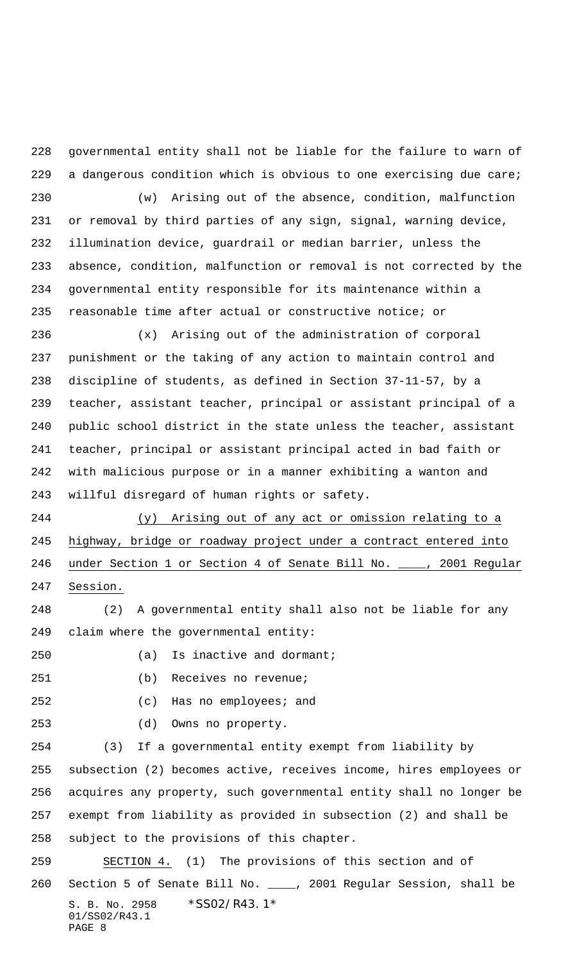governmental entity shall not be liable for the failure to warn of a dangerous condition which is obvious to one exercising due care;

 (w) Arising out of the absence, condition, malfunction or removal by third parties of any sign, signal, warning device, illumination device, guardrail or median barrier, unless the absence, condition, malfunction or removal is not corrected by the governmental entity responsible for its maintenance within a reasonable time after actual or constructive notice; or

 (x) Arising out of the administration of corporal punishment or the taking of any action to maintain control and discipline of students, as defined in Section 37-11-57, by a teacher, assistant teacher, principal or assistant principal of a public school district in the state unless the teacher, assistant teacher, principal or assistant principal acted in bad faith or with malicious purpose or in a manner exhibiting a wanton and willful disregard of human rights or safety.

 (y) Arising out of any act or omission relating to a highway, bridge or roadway project under a contract entered into under Section 1 or Section 4 of Senate Bill No. \_\_\_\_, 2001 Regular Session.

 (2) A governmental entity shall also not be liable for any claim where the governmental entity:

(a) Is inactive and dormant;

(b) Receives no revenue;

(c) Has no employees; and

(d) Owns no property.

 (3) If a governmental entity exempt from liability by subsection (2) becomes active, receives income, hires employees or acquires any property, such governmental entity shall no longer be exempt from liability as provided in subsection (2) and shall be subject to the provisions of this chapter.

S. B. No. 2958 \*SS02/R43.1\* 01/SS02/R43.1 PAGE 8 SECTION 4. (1) The provisions of this section and of Section 5 of Senate Bill No. \_\_\_\_, 2001 Regular Session, shall be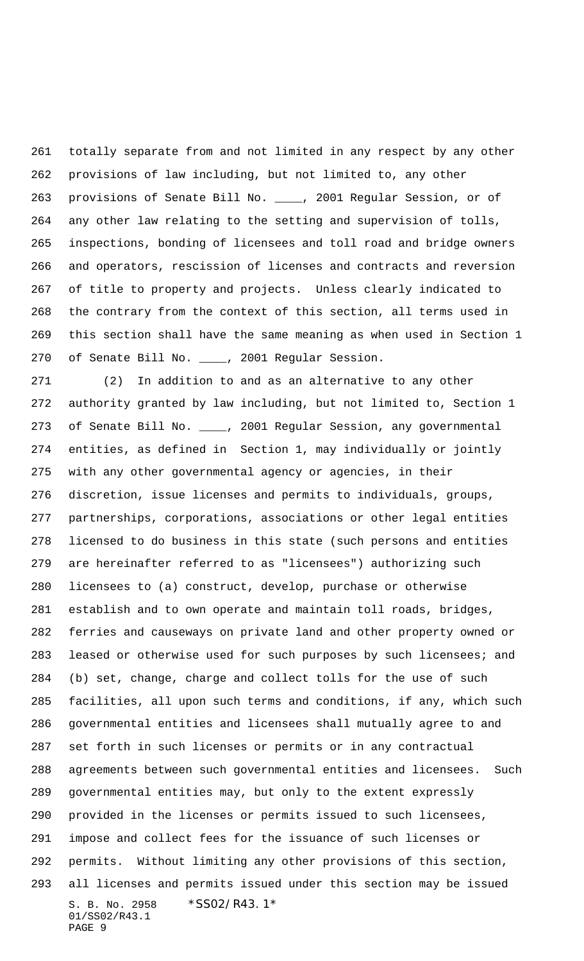totally separate from and not limited in any respect by any other provisions of law including, but not limited to, any other provisions of Senate Bill No. \_\_\_\_, 2001 Regular Session, or of any other law relating to the setting and supervision of tolls, inspections, bonding of licensees and toll road and bridge owners and operators, rescission of licenses and contracts and reversion of title to property and projects. Unless clearly indicated to the contrary from the context of this section, all terms used in this section shall have the same meaning as when used in Section 1 of Senate Bill No. \_\_\_\_, 2001 Regular Session.

S. B. No. 2958 \*SS02/R43.1\* 01/SS02/R43.1 PAGE 9 (2) In addition to and as an alternative to any other authority granted by law including, but not limited to, Section 1 of Senate Bill No. \_\_\_\_, 2001 Regular Session, any governmental entities, as defined in Section 1, may individually or jointly with any other governmental agency or agencies, in their discretion, issue licenses and permits to individuals, groups, partnerships, corporations, associations or other legal entities licensed to do business in this state (such persons and entities are hereinafter referred to as "licensees") authorizing such licensees to (a) construct, develop, purchase or otherwise establish and to own operate and maintain toll roads, bridges, ferries and causeways on private land and other property owned or 283 leased or otherwise used for such purposes by such licensees; and (b) set, change, charge and collect tolls for the use of such facilities, all upon such terms and conditions, if any, which such governmental entities and licensees shall mutually agree to and set forth in such licenses or permits or in any contractual agreements between such governmental entities and licensees. Such governmental entities may, but only to the extent expressly provided in the licenses or permits issued to such licensees, impose and collect fees for the issuance of such licenses or permits. Without limiting any other provisions of this section, all licenses and permits issued under this section may be issued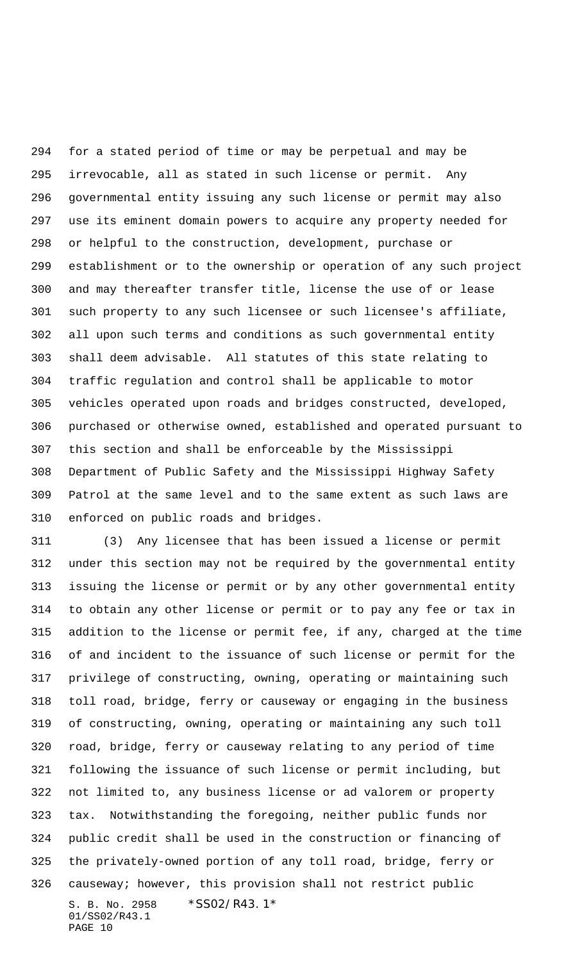for a stated period of time or may be perpetual and may be irrevocable, all as stated in such license or permit. Any governmental entity issuing any such license or permit may also use its eminent domain powers to acquire any property needed for or helpful to the construction, development, purchase or establishment or to the ownership or operation of any such project and may thereafter transfer title, license the use of or lease such property to any such licensee or such licensee's affiliate, all upon such terms and conditions as such governmental entity shall deem advisable. All statutes of this state relating to traffic regulation and control shall be applicable to motor vehicles operated upon roads and bridges constructed, developed, purchased or otherwise owned, established and operated pursuant to this section and shall be enforceable by the Mississippi Department of Public Safety and the Mississippi Highway Safety Patrol at the same level and to the same extent as such laws are enforced on public roads and bridges.

S. B. No. 2958 \*SS02/R43.1\* 01/SS02/R43.1 PAGE 10 (3) Any licensee that has been issued a license or permit under this section may not be required by the governmental entity issuing the license or permit or by any other governmental entity to obtain any other license or permit or to pay any fee or tax in addition to the license or permit fee, if any, charged at the time of and incident to the issuance of such license or permit for the privilege of constructing, owning, operating or maintaining such toll road, bridge, ferry or causeway or engaging in the business of constructing, owning, operating or maintaining any such toll road, bridge, ferry or causeway relating to any period of time following the issuance of such license or permit including, but not limited to, any business license or ad valorem or property tax. Notwithstanding the foregoing, neither public funds nor public credit shall be used in the construction or financing of the privately-owned portion of any toll road, bridge, ferry or causeway; however, this provision shall not restrict public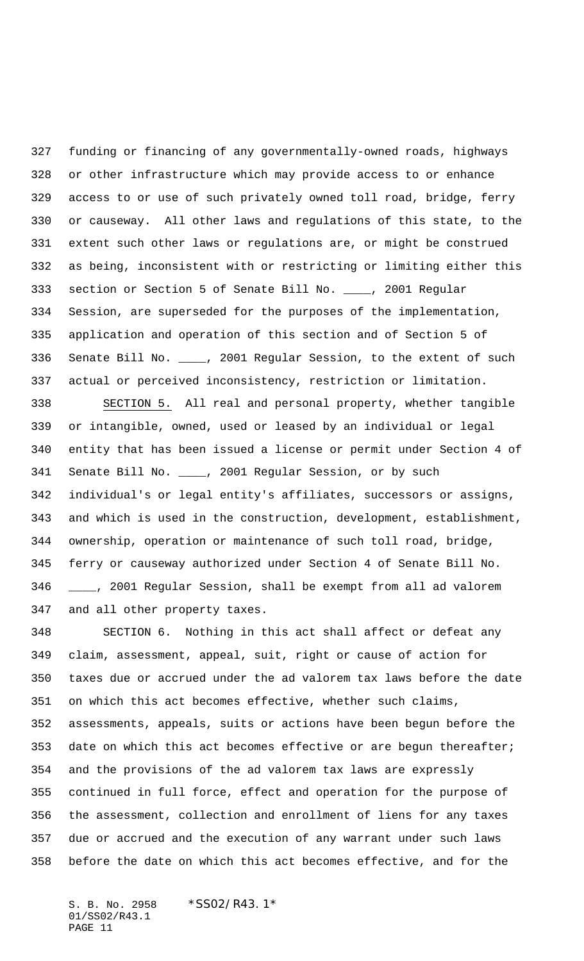funding or financing of any governmentally-owned roads, highways or other infrastructure which may provide access to or enhance access to or use of such privately owned toll road, bridge, ferry or causeway. All other laws and regulations of this state, to the extent such other laws or regulations are, or might be construed as being, inconsistent with or restricting or limiting either this section or Section 5 of Senate Bill No. \_\_\_\_, 2001 Regular Session, are superseded for the purposes of the implementation, application and operation of this section and of Section 5 of Senate Bill No. \_\_\_\_, 2001 Regular Session, to the extent of such actual or perceived inconsistency, restriction or limitation.

 SECTION 5. All real and personal property, whether tangible or intangible, owned, used or leased by an individual or legal entity that has been issued a license or permit under Section 4 of 341 Senate Bill No. \_\_\_\_, 2001 Regular Session, or by such individual's or legal entity's affiliates, successors or assigns, and which is used in the construction, development, establishment, ownership, operation or maintenance of such toll road, bridge, ferry or causeway authorized under Section 4 of Senate Bill No. \_\_\_\_, 2001 Regular Session, shall be exempt from all ad valorem and all other property taxes.

 SECTION 6. Nothing in this act shall affect or defeat any claim, assessment, appeal, suit, right or cause of action for taxes due or accrued under the ad valorem tax laws before the date on which this act becomes effective, whether such claims, assessments, appeals, suits or actions have been begun before the date on which this act becomes effective or are begun thereafter; and the provisions of the ad valorem tax laws are expressly continued in full force, effect and operation for the purpose of the assessment, collection and enrollment of liens for any taxes due or accrued and the execution of any warrant under such laws before the date on which this act becomes effective, and for the

S. B. No. 2958 \* SS02/R43.1\* 01/SS02/R43.1 PAGE 11